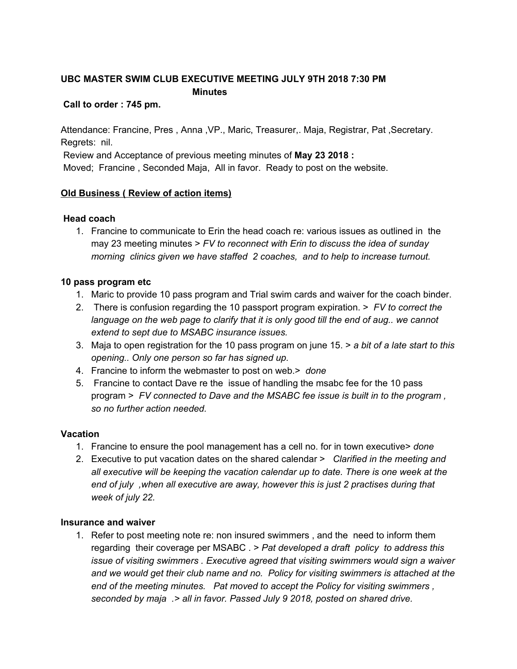# **UBC MASTER SWIM CLUB EXECUTIVE MEETING JULY 9TH 2018 7:30 PM Minutes**

## **Call to order : 745 pm.**

Attendance: Francine, Pres , Anna ,VP., Maric, Treasurer,. Maja, Registrar, Pat ,Secretary. Regrets: nil.

Review and Acceptance of previous meeting minutes of **May 23 2018 :**

Moved; Francine , Seconded Maja, All in favor. Ready to post on the website.

# **Old Business ( Review of action items)**

# **Head coach**

1. Francine to communicate to Erin the head coach re: various issues as outlined in the may 23 meeting minutes > *FV to reconnect with Erin to discuss the idea of sunday morning clinics given we have staffed 2 coaches, and to help to increase turnout.*

# **10 pass program etc**

- 1. Maric to provide 10 pass program and Trial swim cards and waiver for the coach binder.
- 2. There is confusion regarding the 10 passport program expiration. > *FV to correct the language on the web page to clarify that it is only good till the end of aug.. we cannot extend to sept due to MSABC insurance issues.*
- 3. Maja to open registration for the 10 pass program on june 15. > *a bit of a late start to this opening.. Only one person so far has signed up.*
- 4. Francine to inform the webmaster to post on web.> *done*
- 5. Francine to contact Dave re the issue of handling the msabc fee for the 10 pass program > *FV connected to Dave and the MSABC fee issue is built in to the program , so no further action needed.*

## **Vacation**

- 1. Francine to ensure the pool management has a cell no. for in town executive> *done*
- 2. Executive to put vacation dates on the shared calendar > *Clarified in the meeting and all executive will be keeping the vacation calendar up to date. There is one week at the end of july ,when all executive are away, however this is just 2 practises during that week of july 22.*

## **Insurance and waiver**

1. Refer to post meeting note re: non insured swimmers , and the need to inform them regarding their coverage per MSABC . > *Pat developed a draft policy to address this issue of visiting swimmers . Executive agreed that visiting swimmers would sign a waiver and we would get their club name and no. Policy for visiting swimmers is attached at the end of the meeting minutes. Pat moved to accept the Policy for visiting swimmers , seconded by maja .> all in favor. Passed July 9 2018, posted on shared drive.*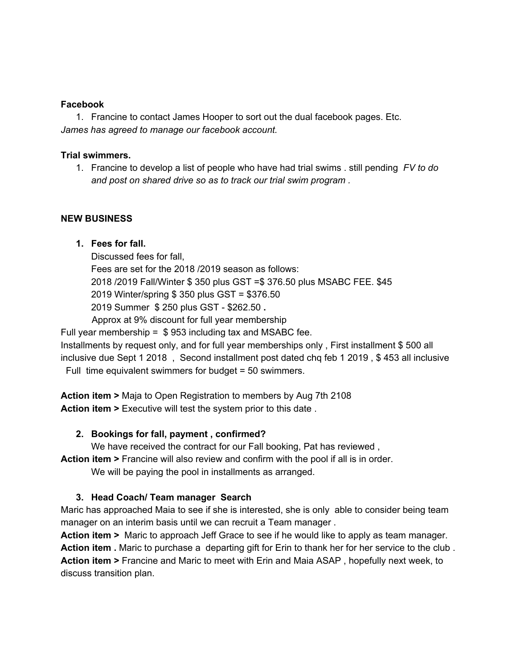#### **Facebook**

1. Francine to contact James Hooper to sort out the dual facebook pages. Etc. *James has agreed to manage our facebook account.*

## **Trial swimmers.**

1. Francine to develop a list of people who have had trial swims . still pending *FV to do and post on shared drive so as to track our trial swim program .*

## **NEW BUSINESS**

# **1. Fees for fall.**

Discussed fees for fall, Fees are set for the 2018 /2019 season as follows: 2018 /2019 Fall/Winter \$ 350 plus GST =\$ 376.50 plus MSABC FEE. \$45 2019 Winter/spring \$ 350 plus GST = \$376.50 2019 Summer \$ 250 plus GST - \$262.50 **.** Approx at 9% discount for full year membership

Full year membership  $=$  \$953 including tax and MSABC fee.

Installments by request only, and for full year memberships only , First installment \$ 500 all inclusive due Sept 1 2018 , Second installment post dated chq feb 1 2019 , \$ 453 all inclusive Full time equivalent swimmers for budget = 50 swimmers.

**Action item >** Maja to Open Registration to members by Aug 7th 2108 **Action item >** Executive will test the system prior to this date .

# **2. Bookings for fall, payment , confirmed?**

We have received the contract for our Fall booking, Pat has reviewed ,

**Action item >** Francine will also review and confirm with the pool if all is in order.

We will be paying the pool in installments as arranged.

# **3. Head Coach/ Team manager Search**

Maric has approached Maia to see if she is interested, she is only able to consider being team manager on an interim basis until we can recruit a Team manager .

**Action item >** Maric to approach Jeff Grace to see if he would like to apply as team manager. **Action item .** Maric to purchase a departing gift for Erin to thank her for her service to the club . **Action item >** Francine and Maric to meet with Erin and Maia ASAP , hopefully next week, to discuss transition plan.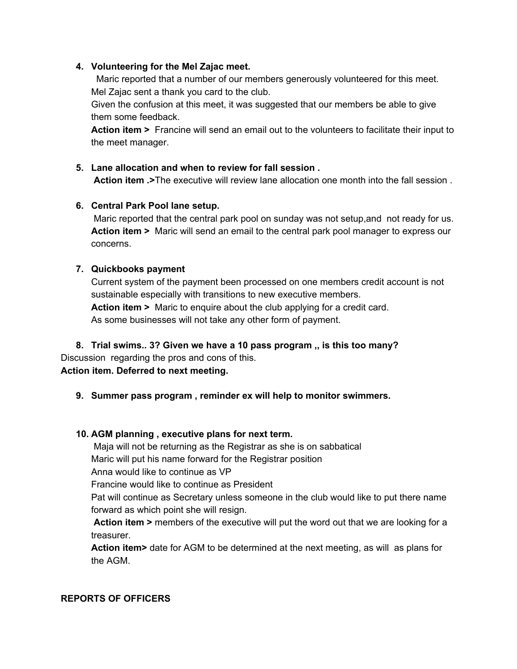# **4. Volunteering for the Mel Zajac meet.**

 Maric reported that a number of our members generously volunteered for this meet. Mel Zajac sent a thank you card to the club.

Given the confusion at this meet, it was suggested that our members be able to give them some feedback.

**Action item >** Francine will send an email out to the volunteers to facilitate their input to the meet manager.

## **5. Lane allocation and when to review for fall session .**

**Action item .>**The executive will review lane allocation one month into the fall session .

# **6. Central Park Pool lane setup.**

Maric reported that the central park pool on sunday was not setup,and not ready for us. **Action item >** Maric will send an email to the central park pool manager to express our concerns.

# **7. Quickbooks payment**

Current system of the payment been processed on one members credit account is not sustainable especially with transitions to new executive members. **Action item >** Maric to enquire about the club applying for a credit card. As some businesses will not take any other form of payment.

# **8. Trial swims.. 3? Given we have a 10 pass program ,, is this too many?** Discussion regarding the pros and cons of this.

**Action item. Deferred to next meeting.**

**9. Summer pass program , reminder ex will help to monitor swimmers.**

## **10. AGM planning , executive plans for next term.**

Maja will not be returning as the Registrar as she is on sabbatical

Maric will put his name forward for the Registrar position

Anna would like to continue as VP

Francine would like to continue as President

Pat will continue as Secretary unless someone in the club would like to put there name forward as which point she will resign.

**Action item >** members of the executive will put the word out that we are looking for a treasurer.

**Action item>** date for AGM to be determined at the next meeting, as will as plans for the AGM.

## **REPORTS OF OFFICERS**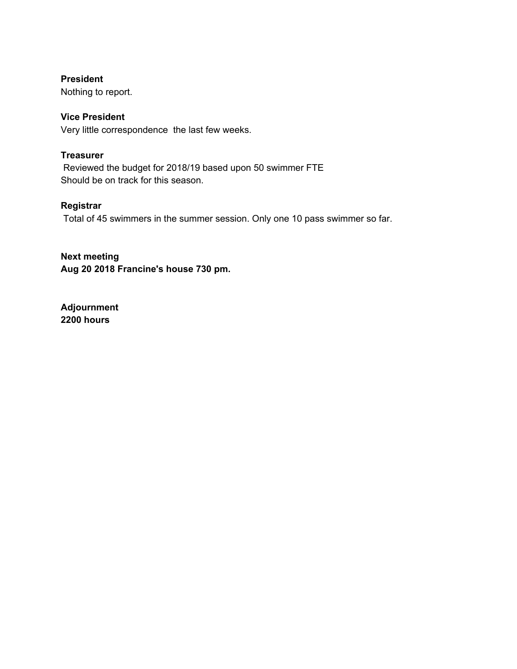## **President**

Nothing to report.

# **Vice President**

Very little correspondence the last few weeks.

## **Treasurer**

Reviewed the budget for 2018/19 based upon 50 swimmer FTE Should be on track for this season.

# **Registrar**

Total of 45 swimmers in the summer session. Only one 10 pass swimmer so far.

**Next meeting Aug 20 2018 Francine's house 730 pm.**

**Adjournment 2200 hours**